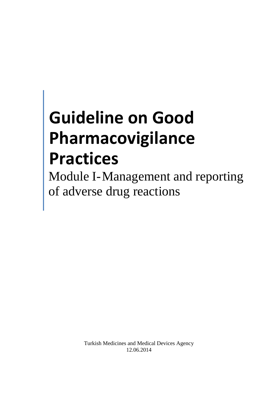# **Guideline on Good Pharmacovigilance Practices**

Module I-Management and reporting of adverse drug reactions

> Turkish Medicines and Medical Devices Agency 12.06.2014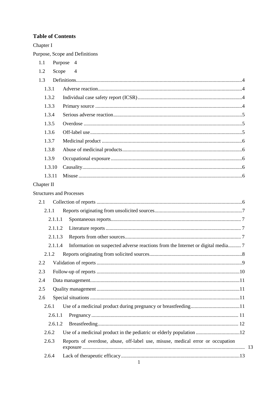# **Table of Contents**

| Chapter I                       |                                                                                |  |
|---------------------------------|--------------------------------------------------------------------------------|--|
|                                 | Purpose, Scope and Definitions                                                 |  |
| 1.1                             | Purpose<br>$\overline{4}$                                                      |  |
| 1.2<br>Scope                    | $\overline{4}$                                                                 |  |
| 1.3                             |                                                                                |  |
| 1.3.1                           |                                                                                |  |
| 1.3.2                           |                                                                                |  |
| 1.3.3                           |                                                                                |  |
| 1.3.4                           |                                                                                |  |
| 1.3.5                           |                                                                                |  |
| 1.3.6                           |                                                                                |  |
| 1.3.7                           |                                                                                |  |
| 1.3.8                           |                                                                                |  |
| 1.3.9                           |                                                                                |  |
| 1.3.10                          |                                                                                |  |
| 1.3.11                          |                                                                                |  |
| Chapter II                      |                                                                                |  |
| <b>Structures and Processes</b> |                                                                                |  |
| 2.1                             |                                                                                |  |
| 2.1.1                           |                                                                                |  |
| 2.1.1.1                         |                                                                                |  |
| 2.1.1.2                         |                                                                                |  |
| 2.1.1.3                         |                                                                                |  |
| 2.1.1.4                         |                                                                                |  |
| 2.1.2                           |                                                                                |  |
| 2.2                             |                                                                                |  |
| 2.3                             |                                                                                |  |
| 2.4                             |                                                                                |  |
| 2.5                             |                                                                                |  |
| 2.6                             |                                                                                |  |
| 2.6.1                           |                                                                                |  |
| 2.6.1.1                         |                                                                                |  |
| 2.6.1.2                         |                                                                                |  |
| 2.6.2                           |                                                                                |  |
| 2.6.3                           | Reports of overdose, abuse, off-label use, misuse, medical error or occupation |  |
| 2.6.4                           | $\mathbf{1}$                                                                   |  |

13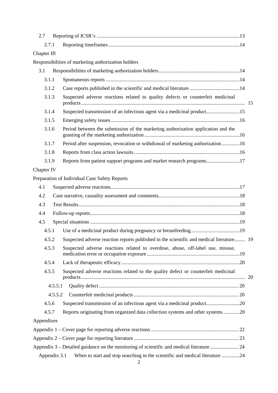| 2.7          |                                                                                           |  |
|--------------|-------------------------------------------------------------------------------------------|--|
| 2.7.1        |                                                                                           |  |
| Chapter III  |                                                                                           |  |
|              | Responsibilities of marketing authorization holders                                       |  |
| 3.1          |                                                                                           |  |
| 3.1.1        |                                                                                           |  |
| 3.1.2        | Case reports published in the scientific and medical literature 14                        |  |
| 3.1.3        | Suspected adverse reactions related to quality defects or counterfeit medicinal           |  |
| 3.1.4        | Suspected transmission of an infectious agent via a medicinal product15                   |  |
| 3.1.5        |                                                                                           |  |
| 3.1.6        | Period between the submission of the marketing authorization application and the          |  |
| 3.1.7        | Period after suspension, revocation or withdrawal of marketing authorization16            |  |
| 3.1.8        |                                                                                           |  |
| 3.1.9        | Reports from patient support programs and market research programs17                      |  |
| Chapter IV   |                                                                                           |  |
|              | Preparation of Individual Case Safety Reports                                             |  |
| 4.1          |                                                                                           |  |
| 4.2          |                                                                                           |  |
| 4.3          |                                                                                           |  |
| 4.4          |                                                                                           |  |
| 4.5          |                                                                                           |  |
| 4.5.1        |                                                                                           |  |
| 4.5.2        | Suspected adverse reaction reports published in the scientific and medical literature 19  |  |
| 4.5.3        | Suspected adverse reactions related to overdose, abuse, off-label use, misuse,            |  |
| 4.5.4        |                                                                                           |  |
| 4.5.5        | Suspected adverse reactions related to the quality defect or counterfeit medicinal        |  |
| 4.5.5.1      |                                                                                           |  |
| 4.5.5.2      |                                                                                           |  |
| 4.5.6        | Suspected transmission of an infectious agent via a medicinal product20                   |  |
| 4.5.7        | Reports originating from organized data collection systems and other systems20            |  |
| Appendixes   |                                                                                           |  |
|              |                                                                                           |  |
|              |                                                                                           |  |
|              | Appendix 3 – Detailed guidance on the monitoring of scientific and medical literature  24 |  |
| Appendix 3.1 | When to start and stop searching in the scientific and medical literature 24              |  |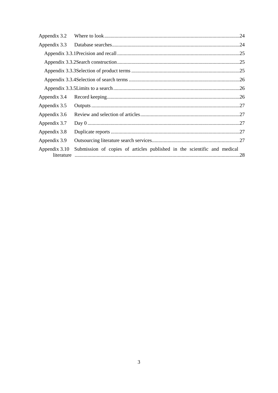| Appendix 3.2                |                                                                          |  |
|-----------------------------|--------------------------------------------------------------------------|--|
| Appendix 3.3                |                                                                          |  |
|                             |                                                                          |  |
|                             |                                                                          |  |
|                             |                                                                          |  |
|                             |                                                                          |  |
|                             |                                                                          |  |
| Appendix 3.4                |                                                                          |  |
| Appendix 3.5                |                                                                          |  |
| Appendix 3.6                |                                                                          |  |
| Appendix 3.7                |                                                                          |  |
| Appendix 3.8                |                                                                          |  |
| Appendix 3.9                |                                                                          |  |
| Appendix 3.10<br>literature | Submission of copies of articles published in the scientific and medical |  |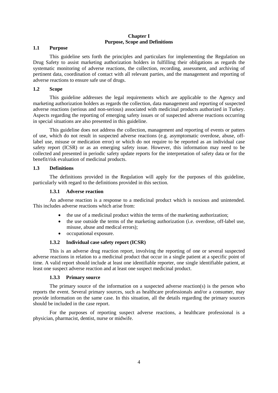## **Chapter I Purpose, Scope and Definitions**

## <span id="page-4-0"></span>**1.1 Purpose**

This guideline sets forth the principles and particulars for implementing the Regulation on Drug Safety to assist marketing authorization holders in fulfilling their obligations as regards the systematic monitoring of adverse reactions, the collection, recording, assessment, and archiving of pertinent data, coordination of contact with all relevant parties, and the management and reporting of adverse reactions to ensure safe use of drugs.

## <span id="page-4-1"></span>**1.2 Scope**

This guideline addresses the legal requirements which are applicable to the Agency and marketing authorization holders as regards the collection, data management and reporting of suspected adverse reactions (serious and non-serious) associated with medicinal products authorized in Turkey. Aspects regarding the reporting of emerging safety issues or of suspected adverse reactions occurring in special situations are also presented in this guideline.

This guideline does not address the collection, management and reporting of events or patters of use, which do not result in suspected adverse reactions (e.g. asymptomatic overdose, abuse, offlabel use, misuse or medication error) or which do not require to be reported as an individual case safety report (ICSR) or as an emerging safety issue. However, this information may need to be collected and presented in periodic safety update reports for the interpretation of safety data or for the benefit/risk evaluation of medicinal products.

## <span id="page-4-2"></span>**1.3 Definitions**

The definitions provided in the Regulation will apply for the purposes of this guideline, particularly with regard to the definitions provided in this section.

## **1.3.1 Adverse reaction**

<span id="page-4-3"></span>An adverse reaction is a response to a medicinal product which is noxious and unintended. This includes adverse reactions which arise from:

- the use of a medicinal product within the terms of the marketing authorization;
- the use outside the terms of the marketing authorization (i.e. overdose, off-label use, misuse, abuse and medical errors);
- occupational exposure.

## **1.3.2 Individual case safety report (ICSR)**

<span id="page-4-4"></span>This is an adverse drug reaction report, involving the reporting of one or several suspected adverse reactions in relation to a medicinal product that occur in a single patient at a specific point of time. A valid report should include at least one identifiable reporter, one single identifiable patient, at least one suspect adverse reaction and at least one suspect medicinal product.

## **1.3.3 Primary source**

<span id="page-4-5"></span>The primary source of the information on a suspected adverse reaction(s) is the person who reports the event. Several primary sources, such as healthcare professionals and/or a consumer, may provide information on the same case. In this situation, all the details regarding the primary sources should be included in the case report.

For the purposes of reporting suspect adverse reactions, a healthcare professional is a physician, pharmacist, dentist, nurse or midwife.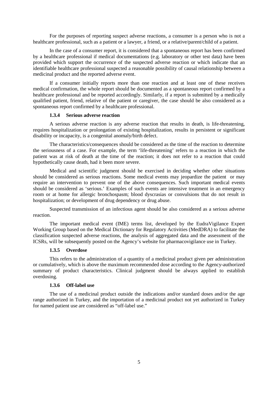For the purposes of reporting suspect adverse reactions, a consumer is a person who is not a healthcare professional, such as a patient or a lawyer, a friend, or a relative/parent/child of a patient.

In the case of a consumer report, it is considered that a spontaneous report has been confirmed by a healthcare professional if medical documentations (e.g. laboratory or other test data) have been provided which support the occurrence of the suspected adverse reaction or which indicate that an identifiable healthcare professional suspected a reasonable possibility of causal relationship between a medicinal product and the reported adverse event.

If a consumer initially reports more than one reaction and at least one of these receives medical confirmation, the whole report should be documented as a spontaneous report confirmed by a healthcare professional and be reported accordingly. Similarly, if a report is submitted by a medically qualified patient, friend, relative of the patient or caregiver, the case should be also considered as a spontaneous report confirmed by a healthcare professional.

## **1.3.4 Serious adverse reaction**

<span id="page-5-0"></span>A serious adverse reaction is any adverse reaction that results in death, is life-threatening, requires hospitalization or prolongation of existing hospitalization, results in persistent or significant disability or incapacity, is a congenital anomaly/birth defect.

The characteristics/consequences should be considered as the time of the reaction to determine the seriousness of a case. For example, the term 'life-threatening' refers to a reaction in which the patient was at risk of death at the time of the reaction; it does not refer to a reaction that could hypothetically cause death, had it been more severe.

Medical and scientific judgment should be exercised in deciding whether other situations should be considered as serious reactions. Some medical events may jeopardize the patient or may require an intervention to prevent one of the above consequences. Such important medical events should be considered as 'serious.' Examples of such events are intensive treatment in an emergency room or at home for allergic bronchospasm; blood dyscrasias or convulsions that do not result in hospitalization; or development of drug dependency or drug abuse.

Suspected transmission of an infectious agent should be also considered as a serious adverse reaction.

The important medical event (IME) terms list, developed by the EudraVigilance Expert Working Group based on the Medical Dictionary for Regulatory Activities (MedDRA) to facilitate the classification suspected adverse reactions, the analysis of aggregated data and the assessment of the ICSRs, will be subsequently posted on the Agency's website for pharmacovigilance use in Turkey.

#### **1.3.5 Overdose**

<span id="page-5-1"></span>This refers to the administration of a quantity of a medicinal product given per administration or cumulatively, which is above the maximum recommended dose according to the Agency-authorized summary of product characteristics. Clinical judgment should be always applied to establish overdosing.

## **1.3.6 Off-label use**

<span id="page-5-2"></span>The use of a medicinal product outside the indications and/or standard doses and/or the age range authorized in Turkey, and the importation of a medicinal product not yet authorized in Turkey for named patient use are considered as "off-label use."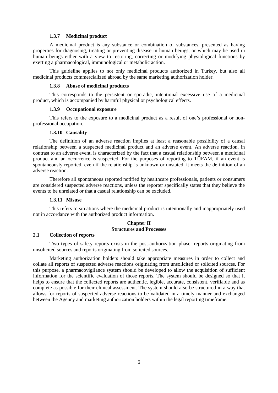#### **1.3.7 Medicinal product**

<span id="page-6-0"></span>A medicinal product is any substance or combination of substances, presented as having properties for diagnosing, treating or preventing disease in human beings, or which may be used in human beings either with a view to restoring, correcting or modifying physiological functions by exerting a pharmacological, immunological or metabolic action.

This guideline applies to not only medicinal products authorized in Turkey, but also all medicinal products commercialized abroad by the same marketing authorization holder.

#### **1.3.8 Abuse of medicinal products**

<span id="page-6-1"></span>This corresponds to the persistent or sporadic, intentional excessive use of a medicinal product, which is accompanied by harmful physical or psychological effects.

#### **1.3.9 Occupational exposure**

<span id="page-6-2"></span>This refers to the exposure to a medicinal product as a result of one's professional or nonprofessional occupation.

## **1.3.10 Causality**

<span id="page-6-3"></span>The definition of an adverse reaction implies at least a reasonable possibility of a causal relationship between a suspected medicinal product and an adverse event. An adverse reaction, in contrast to an adverse event, is characterized by the fact that a casual relationship between a medicinal product and an occurrence is suspected. For the purposes of reporting to TÜFAM, if an event is spontaneously reported, even if the relationship is unknown or unstated, it meets the definition of an adverse reaction.

Therefore all spontaneous reported notified by healthcare professionals, patients or consumers are considered suspected adverse reactions, unless the reporter specifically states that they believe the events to be unrelated or that a casual relationship can be excluded.

#### **1.3.11 Misuse**

<span id="page-6-4"></span>This refers to situations where the medicinal product is intentionally and inappropriately used not in accordance with the authorized product information.

#### **Chapter II Structures and Processes**

#### <span id="page-6-5"></span>**2.1 Collection of reports**

Two types of safety reports exists in the post-authorization phase: reports originating from unsolicited sources and reports originating from solicited sources.

Marketing authorization holders should take appropriate measures in order to collect and collate all reports of suspected adverse reactions originating from unsolicited or solicited sources. For this purpose, a pharmacovigilance system should be developed to allow the acquisition of sufficient information for the scientific evaluation of those reports. The system should be designed so that it helps to ensure that the collected reports are authentic, legible, accurate, consistent, verifiable and as complete as possible for their clinical assessment. The system should also be structured in a way that allows for reports of suspected adverse reactions to be validated in a timely manner and exchanged between the Agency and marketing authorization holders within the legal reporting timeframe.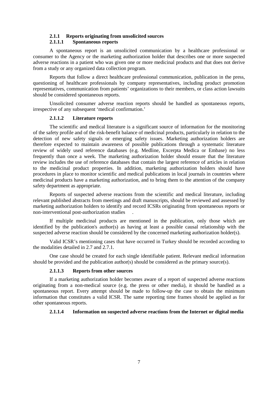#### **2.1.1 Reports originating from unsolicited sources**

#### **2.1.1.1 Spontaneous reports**

<span id="page-7-1"></span><span id="page-7-0"></span>A spontaneous report is an unsolicited communication by a healthcare professional or consumer to the Agency or the marketing authorization holder that describes one or more suspected adverse reactions in a patient who was given one or more medicinal products and that does not derive from a study or any organized data collection program.

Reports that follow a direct healthcare professional communication, publication in the press, questioning of healthcare professionals by company representatives, including product promotion representatives, communication from patients' organizations to their members, or class action lawsuits should be considered spontaneous reports.

Unsolicited consumer adverse reaction reports should be handled as spontaneous reports, irrespective of any subsequent 'medical confirmation.'

#### **2.1.1.2 Literature reports**

<span id="page-7-2"></span>The scientific and medical literature is a significant source of information for the monitoring of the safety profile and of the risk-benefit balance of medicinal products, particularly in relation to the detection of new safety signals or emerging safety issues. Marketing authorization holders are therefore expected to maintain awareness of possible publications through a systematic literature review of widely used reference databases (e.g. Medline, Excerpta Medica or Embase) no less frequently than once a week. The marketing authorization holder should ensure that the literature review includes the use of reference databases that contain the largest reference of articles in relation to the medicinal product properties. In addition, marketing authorization holders should have procedures in place to monitor scientific and medical publications in local journals in countries where medicinal products have a marketing authorization, and to bring them to the attention of the company safety department as appropriate.

Reports of suspected adverse reactions from the scientific and medical literature, including relevant published abstracts from meetings and draft manuscripts, should be reviewed and assessed by marketing authorization holders to identify and record ICSRs originating from spontaneous reports or non-interventional post-authorization studies .

If multiple medicinal products are mentioned in the publication, only those which are identified by the publication's author(s) as having at least a possible causal relationship with the suspected adverse reaction should be considered by the concerned marketing authorization holder(s).

Valid ICSR's mentioning cases that have occurred in Turkey should be recorded according to the modalities detailed in 2.7 and 2.7.1.

One case should be created for each single identifiable patient. Relevant medical information should be provided and the publication author(s) should be considered as the primary source(s).

#### **2.1.1.3 Reports from other sources**

<span id="page-7-3"></span>If a marketing authorization holder becomes aware of a report of suspected adverse reactions originating from a non-medical source (e.g. the press or other media), it should be handled as a spontaneous report. Every attempt should be made to follow-up the case to obtain the minimum information that constitutes a valid ICSR. The same reporting time frames should be applied as for other spontaneous reports.

## <span id="page-7-4"></span>**2.1.1.4 Information on suspected adverse reactions from the Internet or digital media**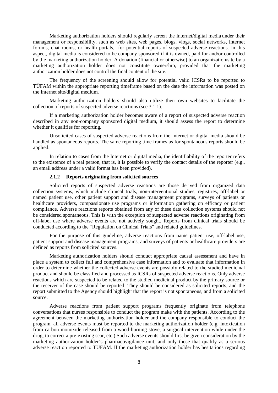Marketing authorization holders should regularly screen the Internet/digital media under their management or responsibility, such as web sites, web pages, blogs, vlogs, social networks, Internet forums, chat rooms, or health portals, for potential reports of suspected adverse reactions. In this aspect, digital media is considered to be company sponsored if it is owned, paid for and/or controlled by the marketing authorization holder. A donation (financial or otherwise) to an organization/site by a marketing authorization holder does not constitute ownership, provided that the marketing authorization holder does not control the final content of the site.

The frequency of the screening should allow for potential valid ICSRs to be reported to TÜFAM within the appropriate reporting timeframe based on the date the information was posted on the Internet site/digital medium.

Marketing authorization holders should also utilize their own websites to facilitate the collection of reports of suspected adverse reactions (see 3.1.1).

If a marketing authorization holder becomes aware of a report of suspected adverse reaction described in any non-company sponsored digital medium, it should assess the report to determine whether it qualifies for reporting.

Unsolicited cases of suspected adverse reactions from the Internet or digital media should be handled as spontaneous reports. The same reporting time frames as for spontaneous reports should be applied.

In relation to cases from the Internet or digital media, the identifiability of the reporter refers to the existence of a real person, that is, it is possible to verify the contact details of the reporter (e.g., an email address under a valid format has been provided).

#### **2.1.2 Reports originating from solicited sources**

<span id="page-8-0"></span>Solicited reports of suspected adverse reactions are those derived from organized data collection systems, which include clinical trials, non-interventional studies, registries, off-label or named patient use, other patient support and disease management programs, surveys of patients or healthcare providers, compassionate use programs or information gathering on efficacy or patient compliance. Adverse reactions reports obtained from any of these data collection systems should not be considered spontaneous. This is with the exception of suspected adverse reactions originating from off-label use where adverse events are not actively sought. Reports from clinical trials should be conducted according to the "Regulation on Clinical Trials" and related guidelines.

For the purpose of this guideline, adverse reactions from name patient use, off-label use, patient support and disease management programs, and surveys of patients or healthcare providers are defined as reports from solicited sources.

Marketing authorization holders should conduct appropriate causal assessment and have in place a system to collect full and comprehensive case information and to evaluate that information in order to determine whether the collected adverse events are possibly related to the studied medicinal product and should be classified and processed as ICSRs of suspected adverse reactions. Only adverse reactions which are suspected to be related to the studied medicinal product by the primary source or the receiver of the case should be reported. They should be considered as solicited reports, and the report submitted to the Agency should highlight that the report is not spontaneous, and from a solicited source.

Adverse reactions from patient support programs frequently originate from telephone conversations that nurses responsible to conduct the program make with the patients. According to the agreement between the marketing authorization holder and the company responsible to conduct the program, all adverse events must be reported to the marketing authorization holder (e.g. intoxication from carbon monoxide released from a wood-burning stove, a surgical intervention while under the drug, to correct a pre-existing scar, etc.) Such adverse events should first be given consideration by the marketing authorization holder's pharmacovigilance unit, and only those that qualify as a serious adverse reaction reported to TÜFAM. If the marketing authorization holder has hesitations regarding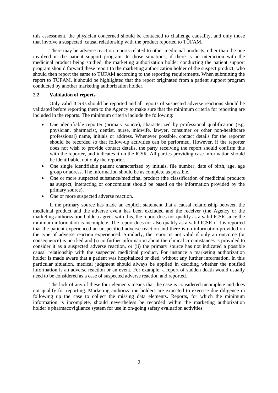this assessment, the physician concerned should be contacted to challenge causality, and only those that involve a suspected causal relationship with the product reported to TÜFAM.

There may be adverse reaction reports related to other medicinal products, other than the one involved in the patient support program. In those situations, if there is no interaction with the medicinal product being studied, the marketing authorization holder conducting the patient support program should forward these report to the marketing authorization holder of the suspect product, who should then report the same to TÜFAM according to the reporting requirements. When submitting the report to TÜFAM, it should be highlighted that the report originated from a patient support program conducted by another marketing authorization holder.

## <span id="page-9-0"></span>**2.2 Validation of reports**

Only valid ICSRs should be reported and all reports of suspected adverse reactions should be validated before reporting them to the Agency to make sure that the minimum criteria for reporting are included in the reports. The minimum criteria include the following:

- One identifiable reporter (primary source), characterized by professional qualification (e.g. physician, pharmacist, dentist, nurse, midwife, lawyer, consumer or other non-healthcare professional) name, initials or address. Whenever possible, contact details for the reporter should be recorded so that follow-up activities can be performed. However, if the reporter does not wish to provide contact details, the party receiving the report should confirm this with the reporter, and indicates it on the ICSR. All parties providing case information should be identifiable, not only the reporter.
- One single identifiable patient characterized by initials, file number, date of birth, age, age group or adress. The information should be as complete as possible.
- One or more suspected substance/medicinal product (the classification of medicinal products as suspect, interacting or concomitant should be based on the information provided by the primary source).
- One or more suspected adverse reaction.

If the primary source has made an explicit statement that a causal relationship between the medicinal product and the adverse event has been excluded and the receiver (the Agency or the marketing authorization holder) agrees with this, the report does not qualify as a valid ICSR since the minimum information is incomplete. The report does not also qualify as a valid ICSR if it is reported that the patient experienced an unspecified adverse reaction and there is no information provided on the type of adverse reaction experienced. Similarly, the report is not valid if only an outcome (or consequence) is notified and (i) no further information about the clinical circumstances is provided to consider it as a suspected adverse reaction, or (ii) the primary source has not indicated a possible causal relationship with the suspected medicinal product. For instance a marketing authorization holder is made aware that a patient was hospitalized or died, without any further information. In this particular situation, medical judgment should always be applied in deciding whether the notified information is an adverse reaction or an event. For example, a report of sudden death would usually need to be considered as a case of suspected adverse reaction and reported.

The lack of any of these four elements means that the case is considered incomplete and does not qualify for reporting. Marketing authorization holders are expected to exercise due diligence in following up the case to collect the missing data elements. Reports, for which the minimum information is incomplete, should nevertheless be recorded within the marketing authorization holder's pharmacovigilance system for use in on-going safety evaluation activities.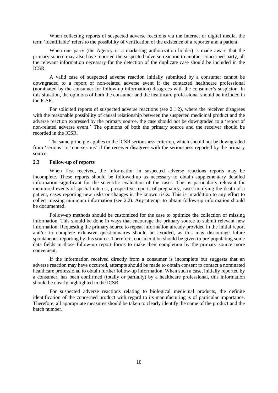When collecting reports of suspected adverse reactions via the Internet or digital media, the term 'identifiable' refers to the possibility of verification of the existence of a reporter and a patient.

When one party (the Agency or a marketing authorization holder) is made aware that the primary source may also have reported the suspected adverse reaction to another concerned party, all the relevant information necessary for the detection of the duplicate case should be included in the ICSR.

A valid case of suspected adverse reaction initially submitted by a consumer cannot be downgraded to a report of non-related adverse event if the contacted healthcare professional (nominated by the consumer for follow-up information) disagrees with the consumer's suspicion. In this situation, the opinions of both the consumer and the healthcare professional should be included in the ICSR.

For solicited reports of suspected adverse reactions (see 2.1.2), where the receiver disagrees with the reasonable possibility of causal relationship between the suspected medicinal product and the adverse reaction expressed by the primary source, the case should not be downgraded to a 'report of non-related adverse event.' The opinions of both the primary source and the receiver should be recorded in the ICSR.

The same principle applies to the ICSR seriousness criterion, which should not be downgraded from 'serious' to 'non-serious' if the receiver disagrees with the seriousness reported by the primary source.

## <span id="page-10-0"></span>**2.3 Follow-up of reports**

When first received, the information in suspected adverse reactions reports may be incomplete. These reports should be followed-up as necessary to obtain supplementary detailed information significant for the scientific evaluation of the cases. This is particularly relevant for monitored events of special interest, prospective reports of pregnancy, cases notifying the death of a patient, cases reporting new risks or changes in the known risks. This is in addition to any effort to collect missing minimum information (see 2.2). Any attempt to obtain follow-up information should be documented.

Follow-up methods should be customized for the case to optimize the collection of missing information. This should be done in ways that encourage the primary source to submit relevant new information. Requesting the primary source to repeat information already provided in the initial report and/or to complete extensive questionnaires should be avoided, as this may discourage future spontaneous reporting by this source. Therefore, consideration should be given to pre-populating some data fields in those follow-up report forms to make their completion by the primary source more convenient.

If the information received directly from a consumer is incomplete but suggests that an adverse reaction may have occurred, attempts should be made to obtain consent to contact a nominated healthcare professional to obtain further follow-up information. When such a case, initially reported by a consumer, has been confirmed (totally or partially) by a healthcare professional, this information should be clearly highlighted in the ICSR.

For suspected adverse reactions relating to biological medicinal products, the definite identification of the concerned product with regard to its manufacturing is of particular importance. Therefore, all appropriate measures should be taken to clearly identify the name of the product and the batch number.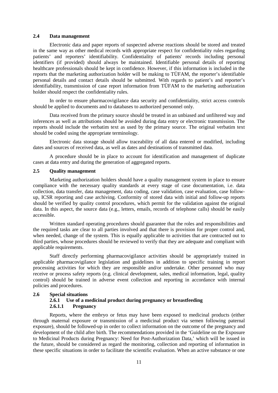## <span id="page-11-0"></span>**2.4 Data management**

Electronic data and paper reports of suspected adverse reactions should be stored and treated in the same way as other medical records with appropriate respect for confidentiality rules regarding patients' and reporters' identifiability. Confidentiality of patients' records including personal identifiers (if provided) should always be maintained. Identifiable personal details of reporting healthcare professionals should be kept in confidence. However, if this information is included in the reports that the marketing authorization holder will be making to TÜFAM, the reporter's identifiable personal details and contact details should be submitted. With regards to patient's and reporter's identifiability, transmission of case report information from TÜFAM to the marketing authorization holder should respect the confidentiality rules.

In order to ensure pharmacovigilance data security and confidentiality, strict access controls should be applied to documents and to databases to authorized personnel only.

Data received from the primary source should be treated in an unbiased and unfiltered way and inferences as well as attributions should be avoided during data entry or electronic transmission. The reports should include the verbatim text as used by the primary source. The original verbatim text should be coded using the appropriate terminology.

Electronic data storage should allow traceability of all data entered or modified, including dates and sources of received data, as well as dates and destinations of transmitted data.

A procedure should be in place to account for identification and management of duplicate cases at data entry and during the generation of aggregated reports.

#### <span id="page-11-1"></span>**2.5 Quality management**

Marketing authorization holders should have a quality management system in place to ensure compliance with the necessary quality standards at every stage of case documentation, i.e. data collection, data transfer, data management, data coding, case validation, case evaluation, case followup, ICSR reporting and case archiving. Conformity of stored data with initial and follow-up reports should be verified by quality control procedures, which permit for the validation against the original data. In this aspect, the source data (e.g., letters, emails, records of telephone calls) should be easily accessible.

Written standard operating procedures should guarantee that the roles and responsibilities and the required tasks are clear to all parties involved and that there is provision for proper control and, when needed, change of the system. This is equally applicable to activities that are contracted out to third parties, whose procedures should be reviewed to verify that they are adequate and compliant with applicable requirements.

Staff directly performing pharmacovigilance activities should be appropriately trained in applicable pharmacovigilance legislation and guidelines in addition to specific training in report processing activities for which they are responsible and/or undertake. Other personnel who may receive or process safety reports (e.g. clinical development, sales, medical information, legal, quality control) should be trained in adverse event collection and reporting in accordance with internal policies and procedures.

## <span id="page-11-3"></span><span id="page-11-2"></span>**2.6 Special situations**

## **2.6.1 Use of a medicinal product during pregnancy or breastfeeding 2.6.1.1 Pregnancy**

<span id="page-11-4"></span>Reports, where the embryo or fetus may have been exposed to medicinal products (either through maternal exposure or transmission of a medicinal product via semen following paternal exposure), should be followed-up in order to collect information on the outcome of the pregnancy and development of the child after birth. The recommendations provided in the 'Guideline on the Exposure to Medicinal Products during Pregnancy: Need for Post-Authorization Data,' which will be issued in the future, should be considered as regard the monitoring, collection and reporting of information in these specific situations in order to facilitate the scientific evaluation. When an active substance or one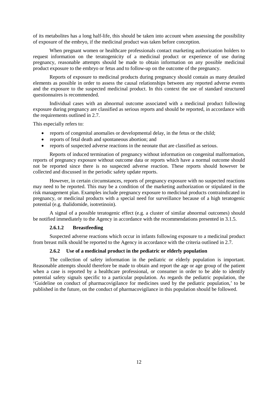of its metabolites has a long half-life, this should be taken into account when assessing the possibility of exposure of the embryo, if the medicinal product was taken before conception.

When pregnant women or healthcare professionals contact marketing authorization holders to request information on the teratogenicity of a medicinal product or experience of use during pregnancy, reasonable attempts should be made to obtain information on any possible medicinal product exposure to the embryo or fetus and to follow-up on the outcome of the pregnancy.

Reports of exposure to medicinal products during pregnancy should contain as many detailed elements as possible in order to assess the causal relationships between any reported adverse events and the exposure to the suspected medicinal product. In this context the use of standard structured questionnaires is recommended.

Individual cases with an abnormal outcome associated with a medicinal product following exposure during pregnancy are classified as serious reports and should be reported, in accordance with the requirements outlined in 2.7.

This especially refers to:

- reports of congenital anomalies or developmental delay, in the fetus or the child;
- reports of fetal death and spontaneous abortion; and
- reports of suspected adverse reactions in the neonate that are classified as serious.

Reports of induced termination of pregnancy without information on congenital malformation, reports of pregnancy exposure without outcome data or reports which have a normal outcome should not be reported since there is no suspected adverse reaction. These reports should however be collected and discussed in the periodic safety update reports.

However, in certain circumstances, reports of pregnancy exposure with no suspected reactions may need to be reported. This may be a condition of the marketing authorization or stipulated in the risk management plan. Examples include pregnancy exposure to medicinal products contraindicated in pregnancy, or medicinal products with a special need for surveillance because of a high teratogenic potential (e.g. thalidomide, isotretinoin).

A signal of a possible teratogenic effect (e.g. a cluster of similar abnormal outcomes) should be notified immediately to the Agency in accordance with the recommendations presented in 3.1.5.

#### **2.6.1.2 Breastfeeding**

<span id="page-12-0"></span>Suspected adverse reactions which occur in infants following exposure to a medicinal product from breast milk should be reported to the Agency in accordance with the criteria outlined in 2.7.

#### **2.6.2 Use of a medicinal product in the pediatric or elderly population**

<span id="page-12-1"></span>The collection of safety information in the pediatric or elderly population is important. Reasonable attempts should therefore be made to obtain and report the age or age group of the patient when a case is reported by a healthcare professional, or consumer in order to be able to identify potential safety signals specific to a particular population. As regards the pediatric population, the 'Guideline on conduct of pharmacovigilance for medicines used by the pediatric population,' to be published in the future, on the conduct of pharmacovigilance in this population should be followed.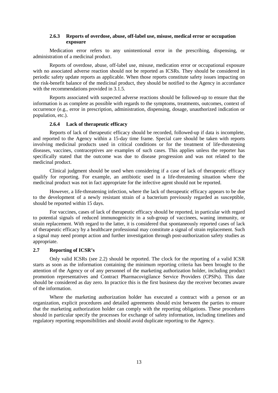## **2.6.3 Reports of overdose, abuse, off-label use, misuse, medical error or occupation exposure**

<span id="page-13-0"></span>Medication error refers to any unintentional error in the prescribing, dispensing, or administration of a medicinal product.

Reports of overdose, abuse, off-label use, misuse, medication error or occupational exposure with no associated adverse reaction should not be reported as ICSRs. They should be considered in periodic safety update reports as applicable. When those reports constitute safety issues impacting on the risk-benefit balance of the medicinal product, they should be notified to the Agency in accordance with the recommendations provided in 3.1.5.

Reports associated with suspected adverse reactions should be followed-up to ensure that the information is as complete as possible with regards to the symptoms, treatments, outcomes, context of occurrence (e.g., error in prescription, administration, dispensing, dosage, unauthorized indication or population, etc.).

#### **2.6.4 Lack of therapeutic efficacy**

<span id="page-13-1"></span>Reports of lack of therapeutic efficacy should be recorded, followed-up if data is incomplete, and reported to the Agency within a 15-day time frame. Special care should be taken with reports involving medicinal products used in critical conditions or for the treatment of life-threatening diseases, vaccines, contraceptives are examples of such cases. This applies unless the reporter has specifically stated that the outcome was due to disease progression and was not related to the medicinal product.

Clinical judgment should be used when considering if a case of lack of therapeutic efficacy qualify for reporting. For example, an antibiotic used in a life-threatening situation where the medicinal product was not in fact appropriate for the infective agent should not be reported.

However, a life-threatening infection, where the lack of therapeutic efficacy appears to be due to the development of a newly resistant strain of a bacterium previously regarded as susceptible, should be reported within 15 days.

For vaccines, cases of lack of therapeutic efficacy should be reported, in particular with regard to potential signals of reduced immunogenicity in a sub-group of vaccinees, waning immunity, or strain replacement. With regard to the latter, it is considered that spontaneously reported cases of lack of therapeutic efficacy by a healthcare professional may constitute a signal of strain replacement. Such a signal may need prompt action and further investigation through post-authorization safety studies as appropriate.

## <span id="page-13-2"></span>**2.7 Reporting of ICSR's**

Only valid ICSRs (see 2.2) should be reported. The clock for the reporting of a valid ICSR starts as soon as the information containing the minimum reporting criteria has been brought to the attention of the Agency or of any personnel of the marketing authorization holder, including product promotion representatives and Contract Pharmacovigilance Service Providers (CPSPs). This date should be considered as day zero. In practice this is the first business day the receiver becomes aware of the information.

Where the marketing authorization holder has executed a contract with a person or an organization, explicit procedures and detailed agreements should exist between the parties to ensure that the marketing authorization holder can comply with the reporting obligations. These procedures should in particular specify the processes for exchange of safety information, including timelines and regulatory reporting responsibilities and should avoid duplicate reporting to the Agency.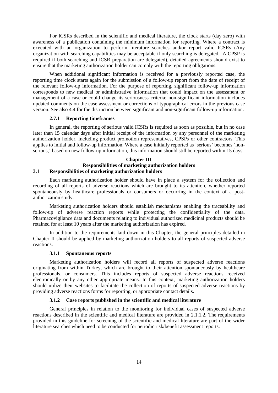For ICSRs described in the scientific and medical literature, the clock starts (day zero) with awareness of a publication containing the minimum information for reporting. Where a contract is executed with an organization to perform literature searches and/or report valid ICSRs (Any organization with searching capabilities may be acceptable if only searching is delegated. A CPSP is required if both searching and ICSR preparation are delegated), detailed agreements should exist to ensure that the marketing authorization holder can comply with the reporting obligations.

When additional significant information is received for a previously reported case, the reporting time clock starts again for the submission of a follow-up report from the date of receipt of the relevant follow-up information. For the purpose of reporting, significant follow-up information corresponds to new medical or administrative information that could impact on the assessment or management of a case or could change its seriousness criteria; non-significant information includes updated comments on the case assessment or corrections of typographical errors in the previous case version. See also 4.4 for the distinction between significant and non-significant follow-up information.

## **2.7.1 Reporting timeframes**

<span id="page-14-0"></span>In general, the reporting of serious valid ICSRs is required as soon as possible, but in no case later than 15 calendar days after initial receipt of the information by any personnel of the marketing authorization holder, including product promotion representatives, CPSPs or other contractors. This applies to initial and follow-up information. Where a case initially reported as 'serious' becomes 'nonserious,' based on new follow-up information, this information should still be reported within 15 days.

#### **Chapter III Responsibilities of marketing authorization holders 3.1 Responsibilities of marketing authorization holders**

<span id="page-14-1"></span>Each marketing authorization holder should have in place a system for the collection and recording of all reports of adverse reactions which are brought to its attention, whether reported spontaneously by healthcare professionals or consumers or occurring in the context of a postauthorization study.

Marketing authorization holders should establish mechanisms enabling the traceability and follow-up of adverse reaction reports while protecting the confidentiality of the data. Pharmacovigilance data and documents relating to individual authorized medicinal products should be retained for at least 10 years after the marketing authorization has expired.

In addition to the requirements laid down in this Chapter, the general principles detailed in Chapter II should be applied by marketing authorization holders to all reports of suspected adverse reactions.

## **3.1.1 Spontaneous reports**

<span id="page-14-2"></span>Marketing authorization holders will record all reports of suspected adverse reactions originating from within Turkey, which are brought to their attention spontaneously by healthcare professionals, or consumers. This includes reports of suspected adverse reactions received electronically or by any other appropriate means. In this context, marketing authorization holders should utilize their websites to facilitate the collection of reports of suspected adverse reactions by providing adverse reactions forms for reporting, or appropriate contact details.

## **3.1.2 Case reports published in the scientific and medical literature**

<span id="page-14-3"></span>General principles in relation to the monitoring for individual cases of suspected adverse reactions described in the scientific and medical literature are provided in 2.1.1.2. The requirements provided in this guideline for screening of the scientific and medical literature are part of the wider literature searches which need to be conducted for periodic risk/benefit assessment reports.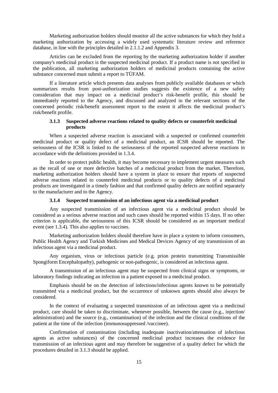Marketing authorization holders should monitor all the active substances for which they hold a marketing authorization by accessing a widely used systematic literature review and reference database, in line with the principles detailed in 2.1.1.2 and Appendix 3.

Articles can be excluded from the reporting by the marketing authorization holder if another company's medicinal product is the suspected medicinal product. If a product name is not specified in the publication, all marketing authorization holders of medicinal products containing the active substance concerned must submit a report to TÜFAM.

If a literature article which presents data analyses from publicly available databases or which summarizes results from post-authorization studies suggests the existence of a new safety consideration that may impact on a medicinal product's risk-benefit profile, this should be immediately reported to the Agency, and discussed and analyzed in the relevant sections of the concerned periodic risk/benefit assessment report to the extent it affects the medicinal product's risk/benefit profile.

## **3.1.3 Suspected adverse reactions related to quality defects or counterfeit medicinal products**

<span id="page-15-0"></span>When a suspected adverse reaction is associated with a suspected or confirmed counterfeit medicinal product or quality defect of a medicinal product, an ICSR should be reported. The seriousness of the ICSR is linked to the seriousness of the reported suspected adverse reactions in accordance with the definitions provided in 1.3.4.

In order to protect public health, it may become necessary to implement urgent measures such as the recall of one or more defective batches of a medicinal product from the market. Therefore, marketing authorization holders should have a system in place to ensure that reports of suspected adverse reactions related to counterfeit medicinal products or to quality defects of a medicinal products are investigated in a timely fashion and that confirmed quality defects are notified separately to the manufacturer and to the Agency.

#### **3.1.4 Suspected transmission of an infectious agent via a medicinal product**

<span id="page-15-1"></span>Any suspected transmission of an infectious agent via a medicinal product should be considered as a serious adverse reaction and such cases should be reported within 15 days. If no other criterion is applicable, the seriousness of this ICSR should be considered as an important medical event (see 1.3.4). This also applies to vaccines.

Marketing authorization holders should therefore have in place a system to inform consumers, Public Health Agency and Turkish Medicines and Medical Devices Agency of any transmission of an infectious agent via a medicinal product.

Any organism, virus or infectious particle (e.g. prion protein transmitting Transmissible Spongiform Encephalopathy), pathogenic or non-pathogenic, is considered an infectious agent.

A transmission of an infectious agent may be suspected from clinical signs or symptoms, or laboratory findings indicating an infection in a patient exposed to a medicinal product.

Emphasis should be on the detection of infections/infectious agents known to be potentially transmitted via a medicinal product, but the occurrence of unknown agents should also always be considered.

In the context of evaluating a suspected transmission of an infectious agent via a medicinal product, care should be taken to discriminate, whenever possible, between the cause (e.g., injection/ administration) and the source (e.g., contamination) of the infection and the clinical conditions of the patient at the time of the infection (immunosuppressed /vaccinee).

Confirmation of contamination (including inadequate inactivation/attenuation of infectious agents as active substances) of the concerned medicinal product increases the evidence for transmission of an infectious agent and may therefore be suggestive of a quality defect for which the procedures detailed in 3.1.3 should be applied.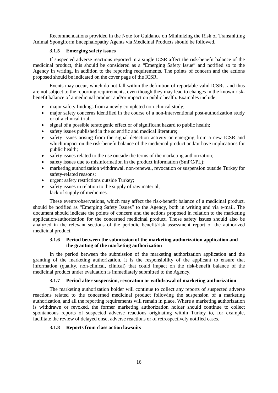Recommendations provided in the Note for Guidance on Minimizing the Risk of Transmitting Animal Spongiform Encephalopathy Agents via Medicinal Products should be followed.

## **3.1.5 Emerging safety issues**

<span id="page-16-0"></span>If suspected adverse reactions reported in a single ICSR affect the risk-benefit balance of the medicinal product, this should be considered as a "Emerging Safety Issue" and notified so to the Agency in writing, in addition to the reporting requirements. The points of concern and the actions proposed should be indicated on the cover page of the ICSR.

Events may occur, which do not fall within the definition of reportable valid ICSRs, and thus are not subject to the reporting requirements, even though they may lead to changes in the known riskbenefit balance of a medicinal product and/or impact on public health. Examples include:

- major safety findings from a newly completed non-clinical study;
- major safety concerns identified in the course of a non-interventional post-authorization study or of a clinical trial;
- signal of a possible teratogenic effect or of significant hazard to public health;
- safety issues published in the scientific and medical literature;
- safety issues arising from the signal detection activity or emerging from a new ICSR and which impact on the risk-benefit balance of the medicinal product and/or have implications for public health;
- safety issues related to the use outside the terms of the marketing authorization;
- safety issues due to misinformation in the product information (SmPC/PL);
- marketing authorization withdrawal, non-renewal, revocation or suspension outside Turkey for safety-related reasons;
- urgent safety restrictions outside Turkey;
- safety issues in relation to the supply of raw material; lack of supply of medicines.

These events/observations, which may affect the risk-benefit balance of a medicinal product, should be notified as "Emerging Safety Issues" to the Agency, both in writing and via e-mail. The document should indicate the points of concern and the actions proposed in relation to the marketing application/authorization for the concerned medicinal product. Those safety issues should also be analyzed in the relevant sections of the periodic benefit/risk assessment report of the authorized medicinal product.

## **3.1.6 Period between the submission of the marketing authorization application and the granting of the marketing authorization**

<span id="page-16-1"></span>In the period between the submission of the marketing authorization application and the granting of the marketing authorization, it is the responsibility of the applicant to ensure that information (quality, non-clinical, clinical) that could impact on the risk-benefit balance of the medicinal product under evaluation is immediately submitted to the Agency.

## **3.1.7 Period after suspension, revocation or withdrawal of marketing authorization**

<span id="page-16-2"></span>The marketing authorization holder will continue to collect any reports of suspected adverse reactions related to the concerned medicinal product following the suspension of a marketing authorization, and all the reporting requirements will remain in place. Where a marketing authorization is withdrawn or revoked, the former marketing authorization holder should continue to collect spontaneous reports of suspected adverse reactions originating within Turkey to, for example, facilitate the review of delayed onset adverse reactions or of retrospectively notified cases.

## <span id="page-16-3"></span>**3.1.8 Reports from class action lawsuits**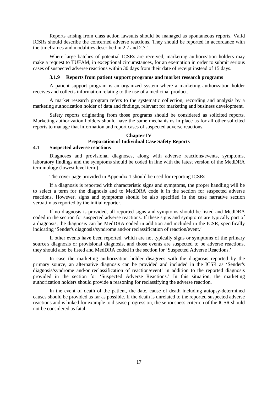Reports arising from class action lawsuits should be managed as spontaneous reports. Valid ICSRs should describe the concerned adverse reactions. They should be reported in accordance with the timeframes and modalities described in 2.7 and 2.7.1.

Where large batches of potential ICSRs are received, marketing authorization holders may make a request to TÜFAM, in exceptional circumstances, for an exemption in order to submit serious cases of suspected adverse reactions within 30 days from their date of receipt instead of 15 days.

#### **3.1.9 Reports from patient support programs and market research programs**

<span id="page-17-0"></span>A patient support program is an organized system where a marketing authorization holder receives and collects information relating to the use of a medicinal product.

A market research program refers to the systematic collection, recording and analysis by a marketing authorization holder of data and findings, relevant for marketing and business development.

Safety reports originating from those programs should be considered as solicited reports. Marketing authorization holders should have the same mechanisms in place as for all other solicited reports to manage that information and report cases of suspected adverse reactions.

## **Chapter IV Preparation of Individual Case Safety Reports**

## <span id="page-17-1"></span>**4.1 Suspected adverse reactions**

Diagnoses and provisional diagnoses, along with adverse reactions/events, symptoms, laboratory findings and the symptoms should be coded in line with the latest version of the MedDRA terminology (lowest level term).

The cover page provided in Appendix 1 should be used for reporting ICSRs.

If a diagnosis is reported with characteristic signs and symptoms, the proper handling will be to select a term for the diagnosis and to MedDRA code it in the section for suspected adverse reactions. However, signs and symptoms should be also specified in the case narrative section verbatim as reported by the initial reporter.

If no diagnosis is provided, all reported signs and symptoms should be listed and MedDRA coded in the section for suspected adverse reactions. If these signs and symptoms are typically part of a diagnosis, the diagnosis can be MedDRA coded in addition and included in the ICSR, specifically indicating 'Sender's diagnosis/syndrome and/or reclassification of reaction/event.'

If other events have been reported, which are not typically signs or symptoms of the primary source's diagnosis or provisional diagnosis, and those events are suspected to be adverse reactions, they should also be listed and MedDRA coded in the section for 'Suspected Adverse Reactions.'

In case the marketing authorization holder disagrees with the diagnosis reported by the primary source, an alternative diagnosis can be provided and included in the ICSR as 'Sender's diagnosis/syndrome and/or reclassification of reaction/event' in addition to the reported diagnosis provided in the section for 'Suspected Adverse Reactions.' In this situation, the marketing authorization holders should provide a reasoning for reclassifying the adverse reaction.

In the event of death of the patient, the date, cause of death including autopsy-determined causes should be provided as far as possible. If the death is unrelated to the reported suspected adverse reactions and is linked for example to disease progression, the seriousness criterion of the ICSR should not be considered as fatal.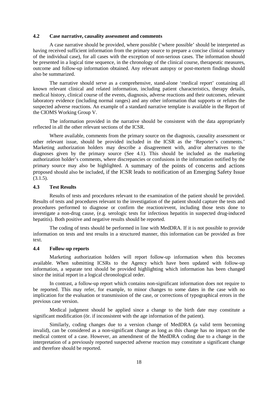## <span id="page-18-0"></span>**4.2 Case narrative, causality assessment and comments**

A case narrative should be provided, where possible ('where possible' should be interpreted as having received sufficient information from the primary source to prepare a concise clinical summary of the individual case), for all cases with the exception of non-serious cases. The information should be presented in a logical time sequence, in the chronology of the clinical course, therapeutic measures, outcome and follow-up information obtained. Any relevant autopsy or post-mortem findings should also be summarized.

The narrative should serve as a comprehensive, stand-alone 'medical report' containing all known relevant clinical and related information, including patient characteristics, therapy details, medical history, clinical course of the events, diagnosis, adverse reactions and their outcomes, relevant laboratory evidence (including normal ranges) and any other information that supports or refutes the suspected adverse reactions. An example of a standard narrative template is available in the Report of the CIOMS Working Group V.

The information provided in the narrative should be consistent with the data appropriately reflected in all the other relevant sections of the ICSR.

Where available, comments from the primary source on the diagnosis, causality assessment or other relevant issue, should be provided included in the ICSR as the 'Reporter's comments.' Marketing authorization holders may describe a disagreement with, and/or alternatives to the diagnoses given by the primary source (See 4.1). This should be included as the marketing authorization holder's comments, where discrepancies or confusions in the information notified by the primary source may also be highlighted. A summary of the points of concerns and actions proposed should also be included, if the ICSR leads to notification of an Emerging Safety Issue  $(3.1.5)$ .

## <span id="page-18-1"></span>**4.3 Test Results**

Results of tests and procedures relevant to the examination of the patient should be provided. Results of tests and procedures relevant to the investigation of the patient should capture the tests and procedures performed to diagnose or confirm the reaction/event, including those tests done to investigate a non-drug cause, (e.g. serologic tests for infectious hepatitis in suspected drug-induced hepatitis). Both positive and negative results should be reported.

The coding of tests should be performed in line with MedDRA. If it is not possible to provide information on tests and test results in a structured manner, this information can be provided as free text.

## <span id="page-18-2"></span>**4.4 Follow-up reports**

Marketing authorization holders will report follow-up information when this becomes available. When submitting ICSRs to the Agency which have been updated with follow-up information, a separate text should be provided highlighting which information has been changed since the initial report in a logical chronological order.

In contrast, a follow-up report which contains non-significant information does not require to be reported. This may refer, for example, to minor changes to some dates in the case with no implication for the evaluation or transmission of the case, or corrections of typographical errors in the previous case version.

Medical judgment should be applied since a change to the birth date may constitute a significant modification (ör. if inconsistent with the age information of the patient).

Similarly, coding changes due to a version change of MedDRA (a valid term becoming invalid), can be considered as a non-significant change as long as this change has no impact on the medical content of a case. However, an amendment of the MedDRA coding due to a change in the interpretation of a previously reported suspected adverse reaction may constitute a significant change and therefore should be reported.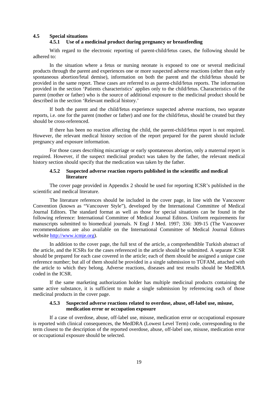## <span id="page-19-1"></span><span id="page-19-0"></span>**4.5 Special situations**

#### **4.5.1 Use of a medicinal product during pregnancy or breastfeeding**

With regard to the electronic reporting of parent-child/fetus cases, the following should be adhered to:

In the situation where a fetus or nursing neonate is exposed to one or several medicinal products through the parent and experiences one or more suspected adverse reactions (other than early spontaneous abortion/fetal demise), information on both the parent and the child/fetus should be provided in the same report. These cases are referred to as parent-child/fetus reports. The information provided in the section 'Patients characteristics' applies only to the child/fetus. Characteristics of the parent (mother or father) who is the source of additional exposure to the medicinal product should be described in the section 'Relevant medical history.'

If both the parent and the child/fetus experience suspected adverse reactions, two separate reports, i.e. one for the parent (mother or father) and one for the child/fetus, should be created but they should be cross-referenced.

If there has been no reaction affecting the child, the parent-child/fetus report is not required. However, the relevant medical history section of the report prepared for the parent should include pregnancy and exposure information.

For those cases describing miscarriage or early spontaneous abortion, only a maternal report is required. However, if the suspect medicinal product was taken by the father, the relevant medical history section should specify that the medication was taken by the father.

## **4.5.2 Suspected adverse reaction reports published in the scientific and medical literature**

<span id="page-19-2"></span>The cover page provided in Appendix 2 should be used for reporting ICSR's published in the scientific and medical literature.

The literature references should be included in the cover page, in line with the Vancouver Convention (known as "Vancouver Style"), developed by the International Committee of Medical Journal Editors. The standard format as well as those for special situations can be found in the following reference: International Committee of Medical Journal Editors. Uniform requirements for manuscripts submitted to biomedical journals. N Engl J Med. 1997; 336: 309-15 (The Vancouver recommendations are also available on the International Committee of Medical Journal Editors website [http://www.icmje.org\)](http://www.icmje.org/).

In addition to the cover page, the full text of the article, a comprehendible Turkish abstract of the article, and the ICSRs for the cases referenced in the article should be submitted. A separate ICSR should be prepared for each case covered in the article; each of them should be assigned a unique case reference number; but all of them should be provided in a single submission to TÜFAM, attached with the article to which they belong. Adverse reactions, diseases and test results should be MedDRA coded in the ICSR.

If the same marketing authorization holder has multiple medicinal products containing the same active substance, it is sufficient to make a single submission by referencing each of those medicinal products in the cover page.

#### **4.5.3 Suspected adverse reactions related to overdose, abuse, off-label use, misuse, medication error or occupation exposure**

<span id="page-19-3"></span>If a case of overdose, abuse, off-label use, misuse, medication error or occupational exposure is reported with clinical consequences, the MedDRA (Lowest Level Term) code, corresponding to the term closest to the description of the reported overdose, abuse, off-label use, misuse, medication error or occupational exposure should be selected.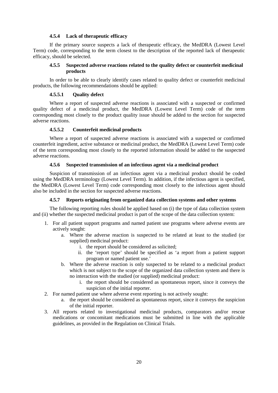#### **4.5.4 Lack of therapeutic efficacy**

<span id="page-20-0"></span>If the primary source suspects a lack of therapeutic efficacy, the MedDRA (Lowest Level Term) code, corresponding to the term closest to the description of the reported lack of therapeutic efficacy, should be selected.

## **4.5.5 Suspected adverse reactions related to the quality defect or counterfeit medicinal products**

<span id="page-20-1"></span>In order to be able to clearly identify cases related to quality defect or counterfeit medicinal products, the following recommendations should be applied:

## **4.5.5.1 Quality defect**

<span id="page-20-2"></span>Where a report of suspected adverse reactions is associated with a suspected or confirmed quality defect of a medicinal product, the MedDRA (Lowest Level Term) code of the term corresponding most closely to the product quality issue should be added to the section for suspected adverse reactions.

## **4.5.5.2 Counterfeit medicinal products**

<span id="page-20-3"></span>Where a report of suspected adverse reactions is associated with a suspected or confirmed counterfeit ingredient, active substance or medicinal product, the MedDRA (Lowest Level Term) code of the term corresponding most closely to the reported information should be added to the suspected adverse reactions.

## **4.5.6 Suspected transmission of an infectious agent via a medicinal product**

<span id="page-20-4"></span>Suspicion of transmission of an infectious agent via a medicinal product should be coded using the MedDRA terminology (Lowest Level Term). In addition, if the infectious agent is specified, the MedDRA (Lowest Level Term) code corresponding most closely to the infectious agent should also be included in the section for suspected adverse reactions.

## **4.5.7 Reports originating from organized data collection systems and other systems**

<span id="page-20-5"></span>The following reporting rules should be applied based on (i) the type of data collection system and (ii) whether the suspected medicinal product is part of the scope of the data collection system:

- 1. For all patient support programs and named patient use programs where adverse events are actively sought:
	- a. Where the adverse reaction is suspected to be related at least to the studied (or supplied) medicinal product:
		- i. the report should be considered as solicited;
		- ii. the 'report type' should be specified as 'a report from a patient support program or named patient use.'
	- b. Where the adverse reaction is only suspected to be related to a medicinal product which is not subject to the scope of the organized data collection system and there is no interaction with the studied (or supplied) medicinal product:
		- i. the report should be considered as spontaneous report, since it conveys the suspicion of the initial reporter.
- 2. For named patient use where adverse event reporting is not actively sought:
	- a. the report should be considered as spontaneous report, since it conveys the suspicion of the initial reporter.
- 3. All reports related to investigational medicinal products, comparators and/or rescue medications or concomitant medications must be submitted in line with the applicable guidelines, as provided in the Regulation on Clinical Trials.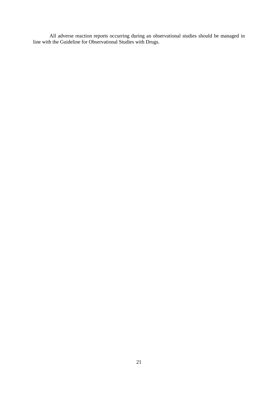All adverse reaction reports occurring during an observational studies should be managed in line with the Guideline for Observational Studies with Drugs.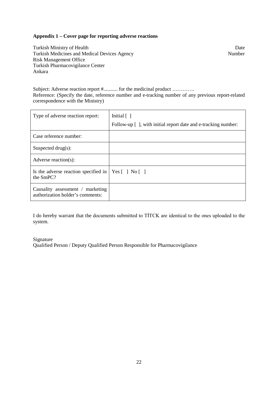## <span id="page-22-0"></span>**Appendix 1 – Cover page for reporting adverse reactions**

Turkish Ministry of Health Date<br>
Turkish Medicines and Medical Devices Agency<br>
Number Turkish Medicines and Medical Devices Agency Risk Management Office Turkish Pharmacovigilance Center Ankara

Subject: Adverse reaction report  $\#$ ............ for the medicinal product .............. Reference: (Specify the date, reference number and e-tracking number of any previous report-related correspondence with the Ministry)

| Type of adverse reaction report:                                         | Initial $\lceil \,\rceil$<br>Follow-up [], with initial report date and e-tracking number: |
|--------------------------------------------------------------------------|--------------------------------------------------------------------------------------------|
| Case reference number:                                                   |                                                                                            |
| Suspected drug $(s)$ :                                                   |                                                                                            |
| Adverse reaction(s):                                                     |                                                                                            |
| Is the adverse reaction specified in $ $ Yes $ $ 1 No $ $ 1<br>the SmPC? |                                                                                            |
| Causality assessment / marketing<br>authorization holder's comments:     |                                                                                            |

I do hereby warrant that the documents submitted to TİTCK are identical to the ones uploaded to the system.

## Signature

Qualified Person / Deputy Qualified Person Responsible for Pharmacovigilance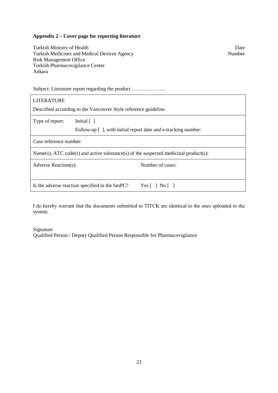## <span id="page-23-0"></span>**Appendix 2 – Cover page for reporting literature**

| Turkish Ministry of Health<br>Number<br>Turkish Medicines and Medical Devices Agency<br><b>Risk Management Office</b><br>Turkish Pharmacovigilance Center<br>Ankara |  |  |  |  |  |
|---------------------------------------------------------------------------------------------------------------------------------------------------------------------|--|--|--|--|--|
| Subject: Literature report regarding the product                                                                                                                    |  |  |  |  |  |
| <b>LITERATURE</b>                                                                                                                                                   |  |  |  |  |  |
| Described according to the Vancouver Style reference guideline.                                                                                                     |  |  |  |  |  |
| Type of report:<br>Initial [ ]<br>Follow-up [], with initial report date and e-tracking number:                                                                     |  |  |  |  |  |
| Case reference number:                                                                                                                                              |  |  |  |  |  |
| $Name(s)$ , ATC code(s) and active substance(s) of the suspected medicinal product(s):                                                                              |  |  |  |  |  |
| Number of cases:<br>Adverse Reaction(s):                                                                                                                            |  |  |  |  |  |
| Is the adverse reaction specified in the SmPC?<br>Yes $\lceil$   No $\lceil$                                                                                        |  |  |  |  |  |

I do hereby warrant that the documents submitted to TİTCK are identical to the ones uploaded to the system.

## Signature

Qualified Person / Deputy Qualified Person Responsible for Pharmacovigilance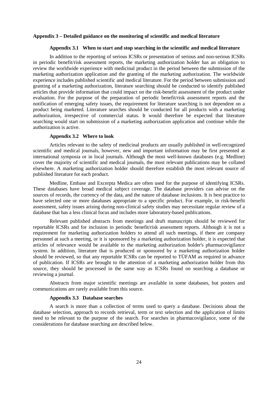#### <span id="page-24-0"></span>**Appendix 3 – Detailed guidance on the monitoring of scientific and medical literature**

#### <span id="page-24-1"></span>**Appendix 3.1 When to start and stop searching in the scientific and medical literature**

In addition to the reporting of serious ICSRs or presentation of serious and non-serious ICSRs in periodic benefit/risk assessment reports, the marketing authorization holder has an obligation to review the worldwide experience with medicinal product in the period between the submission of the marketing authorization application and the granting of the marketing authorization. The worldwide experience includes published scientific and medical literature. For the period between submission and granting of a marketing authorization, literature searching should be conducted to identify published articles that provide information that could impact on the risk-benefit assessment of the product under evaluation. For the purpose of the preparation of periodic benefit/risk assessment reports and the notification of emerging safety issues, the requirement for literature searching is not dependent on a product being marketed. Literature searches should be conducted for all products with a marketing authorization, irrespective of commercial status. It would therefore be expected that literature searching would start on submission of a marketing authorization application and continue while the authorization is active.

## <span id="page-24-2"></span>**Appendix 3.2 Where to look**

Articles relevant to the safety of medicinal products are usually published in well-recognized scientific and medical journals, however, new and important information may be first presented at international symposia or in local journals. Although the most well-known databases (e.g. Medline) cover the majority of scientific and medical journals, the most relevant publications may be collated elsewhere. A marketing authorization holder should therefore establish the most relevant source of published literature for each product.

Medline, Embase and Excerpta Medica are often used for the purpose of identifying ICSRs. These databases have broad medical subject coverage. The database providers can advise on the sources of records, the currency of the data, and the nature of database inclusions. It is best practice to have selected one or more databases appropriate to a specific product. For example, in risk-benefit assessment, safety issues arising during non-clinical safety studies may necessitate regular review of a database that has a less clinical focus and includes more laboratory-based publications.

Relevant published abstracts from meetings and draft manuscripts should be reviewed for reportable ICSRs and for inclusion in periodic benefit/risk assessment reports. Although it is not a requirement for marketing authorization holders to attend all such meetings, if there are company personnel at such a meeting, or it is sponsored by a marketing authorization holder, it is expected that articles of relevance would be available to the marketing authorization holder's pharmacovigilance system. In addition, literature that is produced or sponsored by a marketing authorization holder should be reviewed, so that any reportable ICSRs can be reported to TÜFAM as required in advance of publication. If ICSRs are brought to the attention of a marketing authorization holder from this source, they should be processed in the same way as ICSRs found on searching a database or reviewing a journal.

Abstracts from major scientific meetings are available in some databases, but posters and communications are rarely available from this source.

#### <span id="page-24-3"></span>**Appendix 3.3 Database searches**

A search is more than a collection of terms used to query a database. Decisions about the database selection, approach to records retrieval, term or text selection and the application of limits need to be relevant to the purpose of the search. For searches in pharmacovigilance, some of the considerations for database searching are described below.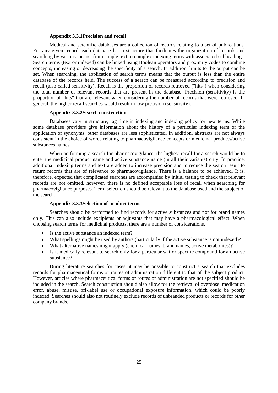#### **Appendix 3.3.1Precision and recall**

<span id="page-25-0"></span>Medical and scientific databases are a collection of records relating to a set of publications. For any given record, each database has a structure that facilitates the organization of records and searching by various means, from simple text to complex indexing terms with associated subheadings. Search terms (text or indexed) can be linked using Boolean operators and proximity codes to combine concepts, increasing or decreasing the specificity of a search. In addition, limits to the output can be set. When searching, the application of search terms means that the output is less than the entire database of the records held. The success of a search can be measured according to precision and recall (also called sensitivity). Recall is the proportion of records retrieved ("hits") when considering the total number of relevant records that are present in the database. Precision (sensitivity) is the proportion of "hits" that are relevant when considering the number of records that were retrieved. In general, the higher recall searches would result in low precision (sensitivity).

#### **Appendix 3.3.2Search construction**

<span id="page-25-1"></span>Databases vary in structure, lag time in indexing and indexing policy for new terms. While some database providers give information about the history of a particular indexing term or the application of synonyms, other databases are less sophisticated. In addition, abstracts are not always consistent in the choice of words relating to pharmacovigilance concepts or medicinal products/active substances names.

When performing a search for pharmacovigilance, the highest recall for a search would be to enter the medicinal product name and active substance name (in all their variants) only. In practice, additional indexing terms and text are added to increase precision and to reduce the search result to return records that are of relevance to pharmacovigilance. There is a balance to be achieved. It is, therefore, expected that complicated searches are accompanied by initial testing to check that relevant records are not omitted, however, there is no defined acceptable loss of recall when searching for pharmacovigilance purposes. Term selection should be relevant to the database used and the subject of the search.

#### **Appendix 3.3.3Selection of product terms**

<span id="page-25-2"></span>Searches should be performed to find records for active substances and not for brand names only. This can also include excipients or adjuvants that may have a pharmacological effect. When choosing search terms for medicinal products, there are a number of considerations.

- Is the active substance an indexed term?
- What spellings might be used by authors (particularly if the active substance is not indexed)?
- What alternative names might apply (chemical names, brand names, active metabolites)?
- Is it medically relevant to search only for a particular salt or specific compound for an active substance?

During literature searches for cases, it may be possible to construct a search that excludes records for pharmaceutical forms or routes of administration different to that of the subject product. However, articles where pharmaceutical forms or routes of administration are not specified should be included in the search. Search construction should also allow for the retrieval of overdose, medication error, abuse, misuse, off-label use or occupational exposure information, which could be poorly indexed. Searches should also not routinely exclude records of unbranded products or records for other company brands.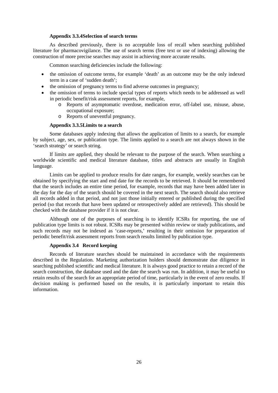#### **Appendix 3.3.4Selection of search terms**

<span id="page-26-0"></span>As described previously, there is no acceptable loss of recall when searching published literature for pharmacovigilance. The use of search terms (free text or use of indexing) allowing the construction of more precise searches may assist in achieving more accurate results.

Common searching deficiencies include the following:

- the omission of outcome terms, for example 'death' as an outcome may be the only indexed term in a case of 'sudden death';
- the omission of pregnancy terms to find adverse outcomes in pregnancy;
- the omission of terms to include special types of reports which needs to be addressed as well in periodic benefit/risk assessment reports, for example,
	- o Reports of asymptomatic overdose, medication error, off-label use, misuse, abuse, occupational exposure;
	- o Reports of uneventful pregnancy.

## **Appendix 3.3.5Limits to a search**

<span id="page-26-1"></span>Some databases apply indexing that allows the application of limits to a search, for example by subject, age, sex, or publication type. The limits applied to a search are not always shown in the 'search strategy' or search string.

If limits are applied, they should be relevant to the purpose of the search. When searching a worldwide scientific and medical literature database, titles and abstracts are usually in English language.

Limits can be applied to produce results for date ranges, for example, weekly searches can be obtained by specifying the start and end date for the records to be retrieved. It should be remembered that the search includes an entire time period, for example, records that may have been added later in the day for the day of the search should be covered in the next search. The search should also retrieve all records added in that period, and not just those initially entered or published during the specified period (so that records that have been updated or retrospectively added are retrieved). This should be checked with the database provider if it is not clear.

Although one of the purposes of searching is to identify ICSRs for reporting, the use of publication type limits is not robust. ICSRs may be presented within review or study publications, and such records may not be indexed as 'case-reports,' resulting in their omission for preparation of periodic benefit/risk assessment reports from search results limited by publication type.

## <span id="page-26-2"></span>**Appendix 3.4 Record keeping**

Records of literature searches should be maintained in accordance with the requirements described in the Regulation. Marketing authorization holders should demonstrate due diligence in searching published scientific and medical literature. It is always good practice to retain a record of the search construction, the database used and the date the search was run. In addition, it may be useful to retain results of the search for an appropriate period of time, particularly in the event of zero results. If decision making is performed based on the results, it is particularly important to retain this information.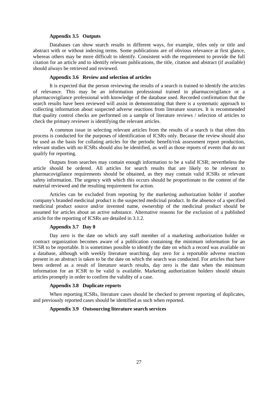#### <span id="page-27-0"></span>**Appendix 3.5 Outputs**

Databases can show search results in different ways, for example, titles only or title and abstract with or without indexing terms. Some publications are of obvious relevance at first glance, whereas others may be more difficult to identify. Consistent with the requirement to provide the full citation for an article and to identify relevant publications, the title, citation and abstract (if available) should always be retrieved and reviewed.

#### <span id="page-27-1"></span>**Appendix 3.6 Review and selection of articles**

It is expected that the person reviewing the results of a search is trained to identify the articles of relevance. This may be an information professional trained in pharmacovigilance or a pharmacovigilance professional with knowledge of the database used. Recorded confirmation that the search results have been reviewed will assist in demonstrating that there is a systematic approach to collecting information about suspected adverse reactions from literature sources. It is recommended that quality control checks are performed on a sample of literature reviews / selection of articles to check the primary reviewer is identifying the relevant articles.

A common issue in selecting relevant articles from the results of a search is that often this process is conducted for the purposes of identification of ICSRs only. Because the review should also be used as the basis for collating articles for the periodic benefit/risk assessment report production, relevant studies with no ICSRs should also be identified, as well as those reports of events that do not qualify for reporting.

Outputs from searches may contain enough information to be a valid ICSR; nevertheless the article should be ordered. All articles for search results that are likely to be relevant to pharmacovigilance requirements should be obtained, as they may contain valid ICSRs or relevant safety information. The urgency with which this occurs should be proportionate to the content of the material reviewed and the resulting requirement for action.

Articles can be excluded from reporting by the marketing authorization holder if another company's branded medicinal product is the suspected medicinal product. In the absence of a specified medicinal product source and/or invented name, ownership of the medicinal product should be assumed for articles about an active substance. Alternative reasons for the exclusion of a published article for the reporting of ICSRs are detailed in 3.1.2.

## <span id="page-27-2"></span>**Appendix 3.7 Day 0**

Day zero is the date on which any staff member of a marketing authorization holder or contract organization becomes aware of a publication containing the minimum information for an ICSR to be reportable. It is sometimes possible to identify the date on which a record was available on a database, although with weekly literature searching, day zero for a reportable adverse reaction present in an abstract is taken to be the date on which the search was conducted. For articles that have been ordered as a result of literature search results, day zero is the date when the minimum information for an ICSR to be valid is available. Marketing authorization holders should obtain articles promptly in order to confirm the validity of a case.

#### <span id="page-27-3"></span>**Appendix 3.8 Duplicate reports**

When reporting ICSRs, literature cases should be checked to prevent reporting of duplicates, and previously reported cases should be identified as such when reported.

## <span id="page-27-4"></span>**Appendix 3.9 Outsourcing literature search services**